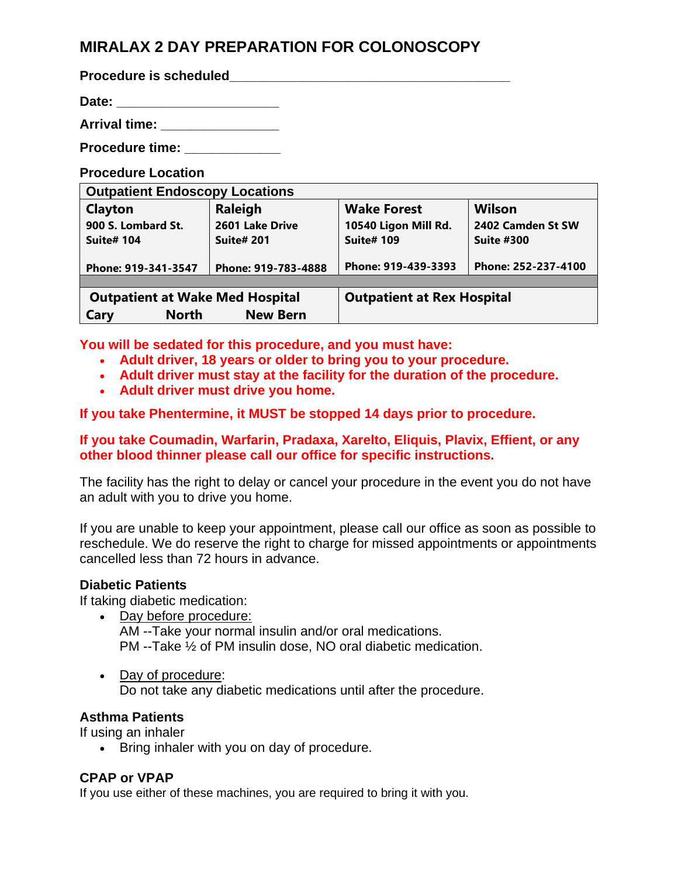## **MIRALAX 2 DAY PREPARATION FOR COLONOSCOPY**

| <b>Procedure is scheduled</b> |  |
|-------------------------------|--|
| Date:                         |  |

**Arrival time:** *Arrival time:* 

**Procedure time:**  $\blacksquare$ 

**Procedure Location**

| <b>Outpatient Endoscopy Locations</b>  |                     |                                   |                     |  |
|----------------------------------------|---------------------|-----------------------------------|---------------------|--|
| Clayton                                | Raleigh             | <b>Wake Forest</b>                | Wilson              |  |
| 900 S. Lombard St.                     | 2601 Lake Drive     | 10540 Ligon Mill Rd.              | 2402 Camden St SW   |  |
| <b>Suite# 104</b>                      | <b>Suite# 201</b>   | <b>Suite# 109</b>                 | <b>Suite #300</b>   |  |
|                                        |                     |                                   |                     |  |
| Phone: 919-341-3547                    | Phone: 919-783-4888 | Phone: 919-439-3393               | Phone: 252-237-4100 |  |
|                                        |                     |                                   |                     |  |
| <b>Outpatient at Wake Med Hospital</b> |                     | <b>Outpatient at Rex Hospital</b> |                     |  |
| <b>North</b><br>Cary                   | <b>New Bern</b>     |                                   |                     |  |

**You will be sedated for this procedure, and you must have:**

- **Adult driver, 18 years or older to bring you to your procedure.**
- **Adult driver must stay at the facility for the duration of the procedure.**
- **Adult driver must drive you home.**

**If you take Phentermine, it MUST be stopped 14 days prior to procedure.**

**If you take Coumadin, Warfarin, Pradaxa, Xarelto, Eliquis, Plavix, Effient, or any other blood thinner please call our office for specific instructions.**

The facility has the right to delay or cancel your procedure in the event you do not have an adult with you to drive you home.

If you are unable to keep your appointment, please call our office as soon as possible to reschedule. We do reserve the right to charge for missed appointments or appointments cancelled less than 72 hours in advance.

#### **Diabetic Patients**

If taking diabetic medication:

- Day before procedure: AM --Take your normal insulin and/or oral medications. PM --Take ½ of PM insulin dose, NO oral diabetic medication.
- Day of procedure: Do not take any diabetic medications until after the procedure.

### **Asthma Patients**

If using an inhaler

• Bring inhaler with you on day of procedure.

### **CPAP or VPAP**

If you use either of these machines, you are required to bring it with you.